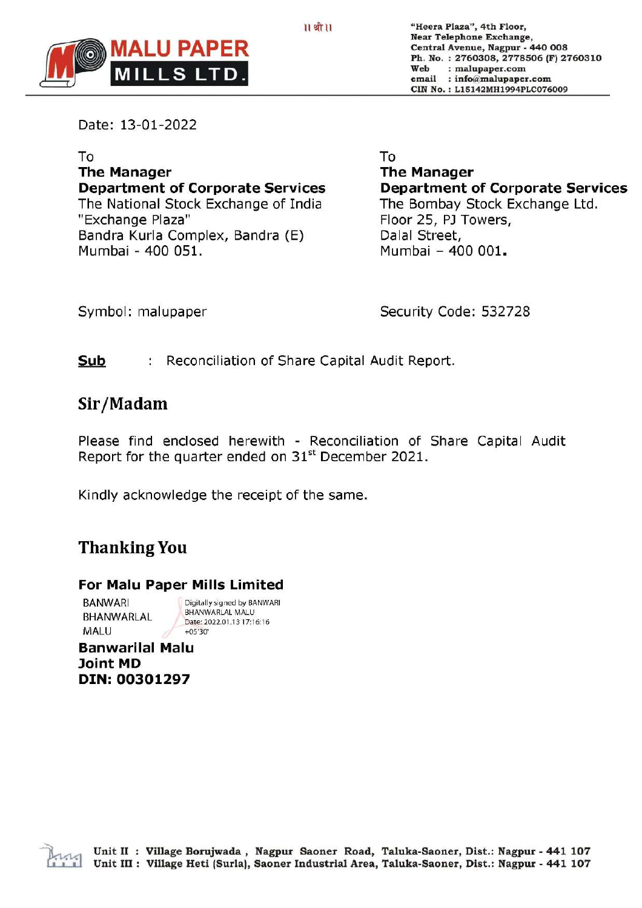

"Heera Plaza", 4th Floor, Near Telephone Exchange, Central Avenue, Nagpur - 440 008 Ph. No. : 2760308, 2778506 (F) 2760310 Web : malupaper.com email : info@malupaper.com CIN No. : L15142MH1994PLC076009

Date: 13-01-2022

To The Manager Department of Corporate Services The National Stock Exchange of India "Exchange Plaza" Bandra Kurla Complex, Bandra (E) Mumbai - 400 051.

To

The Manager Department of Corporate Services The Bombay Stock Exchange Ltd. Floor 25, PJ Towers, Dalal Street, Mumbai - 400 001.

Symbol: malupaper

Security Code: 532728

#### Sub Reconciliation of Share Capital Audit Report.

## Sir/Madam

Please find enclosed herewith - Reconciliation of Share Capital Audit Report for the quarter ended on  $31<sup>st</sup>$  December 2021.

Kindly acknowledge the receipt of the same.

# Thanking You

### For Malu Paper Mills Limited

BANWARI Digitally signed by BANWARI BHANWARLAL MALU BHANWARLAL Date: 2022.01.13 17:16:16<br>MALU +05'30'

Banwarilal Malu Joint MD DIN: 00301297

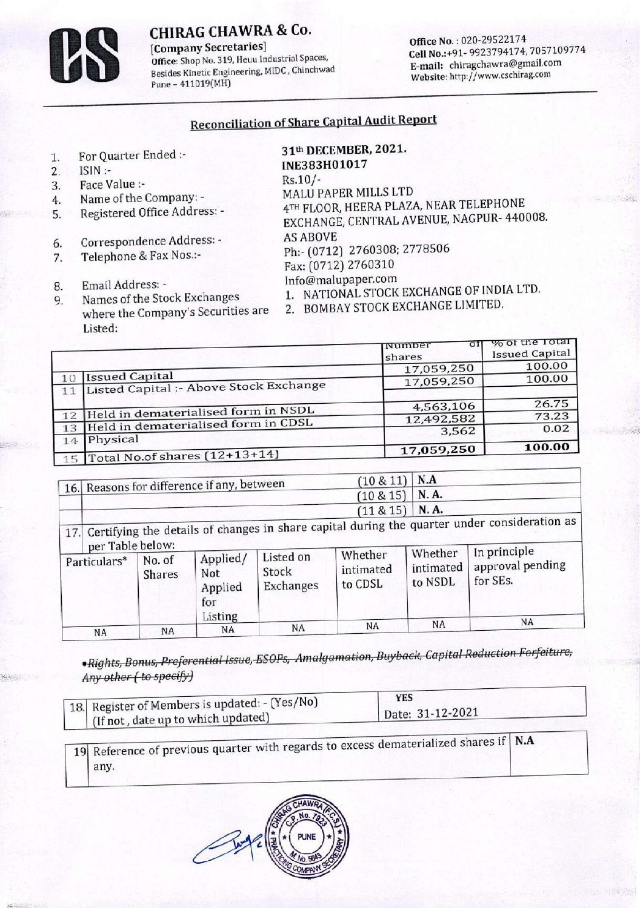## CHIRAG CHAWRA & Co.

Company Secretaries]<br>
Office No.: 020-29522174<br>
Office: Shop No. 319, Heuu Industrial Spaces,<br>
Cell No.:+91-9923794174, Besides Kinetic Engineering, MIDC, Chinchwad Pune - 411019(MH) CHIRAG CHAWRA & Co.<br>
[Company Secretaries]<br>
Office: Shop No. 319, Heuu Industrial Space<br>
Pesides Kinetic Engineering, MIDC, Chinch

Cell No.:+91-9923794174, 7057109774<br>E-mail: chiragchawra@gmail.com Website: http://www.cschirag.com

# Reconciliation of Share Capital Audit Report

- 
- 
- 3. Face Value :-<br>4. Name of the Company: -
- 
- 6. Correspondence Address: AS ABOVE
- 
- 
- CHIRAG CHAWRA & Co.<br>
[Company Secretaries]<br>
office: Shop No. 319, Heuu Industrial Spa<br>
Pesides Kinetic Engineering, MIDC, Chine<br>
Peus-411019(MH)<br>
Peus-411019(MH)<br>
Reconciliation of Shar<br>
Reconciliation of Shar<br>
Reconciliat CHIRAG CHAWRA & Co.<br>
[Company Secretaries]<br>
office: Shop No. 319, Heuu Industrial Spa<br>
Pesides Kinetic Engineering, MIDC, Chine<br>
Pune – 411019(MH)<br>
Pune – 411019(MH)<br>
Reconciliation of Shar<br>
Reconciliation of Shar<br>
Reconci Listed:

|                                                                                                                                                                                                                                                                                                                                                                    | Office No.: 020-29522174<br>Cell No.:+91-9923794174, 705710977<br>E-mail: chiragchawra@gmail.com<br>Website: http://www.cschirag.com                                                                                                                     |                                                                                                                                                                                                      |  |  |
|--------------------------------------------------------------------------------------------------------------------------------------------------------------------------------------------------------------------------------------------------------------------------------------------------------------------------------------------------------------------|----------------------------------------------------------------------------------------------------------------------------------------------------------------------------------------------------------------------------------------------------------|------------------------------------------------------------------------------------------------------------------------------------------------------------------------------------------------------|--|--|
|                                                                                                                                                                                                                                                                                                                                                                    |                                                                                                                                                                                                                                                          |                                                                                                                                                                                                      |  |  |
| INE383H01017<br>$Rs.10/-$<br>MALU PAPER MILLS LTD<br>4TH FLOOR, HEERA PLAZA, NEAR TELEPHONE<br>EXCHANGE, CENTRAL AVENUE, NAGPUR- 440008.<br><b>AS ABOVE</b><br>Ph:- (0712) 2760308; 2778506<br>Fax: (0712) 2760310<br>Info@malupaper.com<br>1. NATIONAL STOCK EXCHANGE OF INDIA LTD.<br>BOMBAY STOCK EXCHANGE LIMITED.<br>2.<br>where the Company's Securities are |                                                                                                                                                                                                                                                          |                                                                                                                                                                                                      |  |  |
|                                                                                                                                                                                                                                                                                                                                                                    | Number                                                                                                                                                                                                                                                   | % of the Total<br>ΟI<br>Issued Capital                                                                                                                                                               |  |  |
|                                                                                                                                                                                                                                                                                                                                                                    |                                                                                                                                                                                                                                                          | 100.00                                                                                                                                                                                               |  |  |
|                                                                                                                                                                                                                                                                                                                                                                    | 17,059,250                                                                                                                                                                                                                                               | 100.00                                                                                                                                                                                               |  |  |
|                                                                                                                                                                                                                                                                                                                                                                    |                                                                                                                                                                                                                                                          |                                                                                                                                                                                                      |  |  |
|                                                                                                                                                                                                                                                                                                                                                                    |                                                                                                                                                                                                                                                          | 26.75<br>73.23                                                                                                                                                                                       |  |  |
| Held in dematerialised form in NSDL<br>12<br>Held in dematerialised form in CDSL<br>13                                                                                                                                                                                                                                                                             |                                                                                                                                                                                                                                                          |                                                                                                                                                                                                      |  |  |
| Physical<br>14                                                                                                                                                                                                                                                                                                                                                     |                                                                                                                                                                                                                                                          |                                                                                                                                                                                                      |  |  |
|                                                                                                                                                                                                                                                                                                                                                                    |                                                                                                                                                                                                                                                          | 100.00                                                                                                                                                                                               |  |  |
|                                                                                                                                                                                                                                                                                                                                                                    |                                                                                                                                                                                                                                                          |                                                                                                                                                                                                      |  |  |
|                                                                                                                                                                                                                                                                                                                                                                    | <b>CHIRAG CHAWRA &amp; Co.</b><br>Office: Shop No. 319, Heuu Industrial Spaces,<br>Besides Kinetic Engineering, MIDC, Chinchwad<br>Listed Capital :- Above Stock Exchange<br>Total No.of shares (12+13+14)<br>16. Reasons for difference if any, between | <b>Reconciliation of Share Capital Audit Report</b><br>31th DECEMBER, 2021.<br>shares<br>17,059,250<br>4,563,106<br>12,492,582<br>3,562<br>17,059,250<br>N.A<br>$(10 \& 11)$<br>N.A.<br>$(10 \& 15)$ |  |  |

|                                                                                                                                                                                                                                                             |                                            |                              |                                   | <b>Reconciliation of Share Capital Audit Report</b>                                             |                                                                                                                           |                  |                                                                                                                                                                   |      |                                                                                              |  |
|-------------------------------------------------------------------------------------------------------------------------------------------------------------------------------------------------------------------------------------------------------------|--------------------------------------------|------------------------------|-----------------------------------|-------------------------------------------------------------------------------------------------|---------------------------------------------------------------------------------------------------------------------------|------------------|-------------------------------------------------------------------------------------------------------------------------------------------------------------------|------|----------------------------------------------------------------------------------------------|--|
| For Quarter Ended :-<br>ISIN :-<br>Face Value :-<br>Name of the Company: -<br>Registered Office Address: -<br>Correspondence Address: -<br>Telephone & Fax Nos.:-<br>Email Address: -<br>Names of the Stock Exchanges<br>where the Company's Securities are |                                            |                              |                                   | INE383H01017<br>Rs.10/-<br><b>AS ABOVE</b><br>2.                                                | 31th DECEMBER, 2021.<br>MALU PAPER MILLS LTD<br>Ph:- (0712) 2760308; 2778506<br>Fax: (0712) 2760310<br>Info@malupaper.com |                  | 4TH FLOOR, HEERA PLAZA, NEAR TELEPHONE<br>EXCHANGE, CENTRAL AVENUE, NAGPUR- 440008.<br>1. NATIONAL STOCK EXCHANGE OF INDIA LTD.<br>BOMBAY STOCK EXCHANGE LIMITED. |      |                                                                                              |  |
|                                                                                                                                                                                                                                                             | Listed:                                    |                              |                                   |                                                                                                 |                                                                                                                           |                  |                                                                                                                                                                   |      |                                                                                              |  |
|                                                                                                                                                                                                                                                             |                                            |                              |                                   |                                                                                                 |                                                                                                                           | Number<br>shares |                                                                                                                                                                   | σf   | % of the Total<br><b>Issued Capital</b>                                                      |  |
|                                                                                                                                                                                                                                                             |                                            |                              |                                   |                                                                                                 |                                                                                                                           | 17,059,250       |                                                                                                                                                                   |      | 100.00                                                                                       |  |
| <b>Issued Capital</b><br>10<br>Listed Capital :- Above Stock Exchange<br>11                                                                                                                                                                                 |                                            |                              |                                   |                                                                                                 |                                                                                                                           |                  | 17,059,250                                                                                                                                                        |      | 100.00                                                                                       |  |
|                                                                                                                                                                                                                                                             |                                            |                              |                                   |                                                                                                 |                                                                                                                           | 4,563,106        |                                                                                                                                                                   |      | 26.75                                                                                        |  |
| Held in dematerialised form in NSDL<br>12                                                                                                                                                                                                                   |                                            |                              |                                   |                                                                                                 |                                                                                                                           | 12,492,582       |                                                                                                                                                                   |      | 73.23                                                                                        |  |
| Held in dematerialised form in CDSL<br>13                                                                                                                                                                                                                   |                                            |                              |                                   |                                                                                                 |                                                                                                                           | 3,562            |                                                                                                                                                                   | 0.02 |                                                                                              |  |
| Physical<br>14                                                                                                                                                                                                                                              |                                            |                              |                                   |                                                                                                 |                                                                                                                           |                  | 17,059,250                                                                                                                                                        |      | 100.00                                                                                       |  |
| 15                                                                                                                                                                                                                                                          |                                            |                              | Total No.of shares (12+13+14)     |                                                                                                 |                                                                                                                           |                  |                                                                                                                                                                   |      |                                                                                              |  |
|                                                                                                                                                                                                                                                             |                                            |                              |                                   |                                                                                                 |                                                                                                                           | $(10 \& 11)$     | N.A                                                                                                                                                               |      |                                                                                              |  |
|                                                                                                                                                                                                                                                             | 16. Reasons for difference if any, between |                              |                                   |                                                                                                 | N.A.<br>$(10 \& 15)$                                                                                                      |                  |                                                                                                                                                                   |      |                                                                                              |  |
|                                                                                                                                                                                                                                                             |                                            |                              |                                   |                                                                                                 | (11 & 815)                                                                                                                |                  |                                                                                                                                                                   | N.A. |                                                                                              |  |
| 17.                                                                                                                                                                                                                                                         |                                            |                              |                                   |                                                                                                 |                                                                                                                           |                  |                                                                                                                                                                   |      | Certifying the details of changes in share capital during the quarter under consideration as |  |
| per Table below:<br>Particulars*                                                                                                                                                                                                                            |                                            | No. of<br><b>Shares</b>      | Applied/<br>Not<br>Applied<br>for | Listed on<br>Stock<br>Exchanges                                                                 | Whether<br>intimated<br>to CDSL                                                                                           |                  | Whether<br>intimated<br>to NSDL                                                                                                                                   |      | In principle<br>approval pending<br>for SEs.                                                 |  |
|                                                                                                                                                                                                                                                             |                                            |                              |                                   | NA                                                                                              | NA                                                                                                                        |                  | NA                                                                                                                                                                |      |                                                                                              |  |
|                                                                                                                                                                                                                                                             | NA                                         | NA<br>Any other (to specify) | Listing<br>NA                     | ·Rights, Bonus, Preferential Issue, ESOPs, Amalgamation, Buyback, Capital Reduction Forfeiture, |                                                                                                                           | <b>YES</b>       |                                                                                                                                                                   |      | NA                                                                                           |  |
| Register of Members is updated: - (Yes/No)<br>18.<br>(If not, date up to which updated)                                                                                                                                                                     |                                            |                              |                                   | Date: 31-12-2021                                                                                |                                                                                                                           |                  |                                                                                                                                                                   |      |                                                                                              |  |
| 19                                                                                                                                                                                                                                                          | any.                                       |                              |                                   | Reference of previous quarter with regards to excess dematerialized shares if                   |                                                                                                                           |                  |                                                                                                                                                                   |      | N.A                                                                                          |  |

|                                                                                                   | <b>YES</b>       |  |  |
|---------------------------------------------------------------------------------------------------|------------------|--|--|
| <sup>1</sup> 18. Register of Members is updated: - (Yes/No)<br>(If not, date up to which updated) | Date: 31-12-2021 |  |  |
|                                                                                                   |                  |  |  |